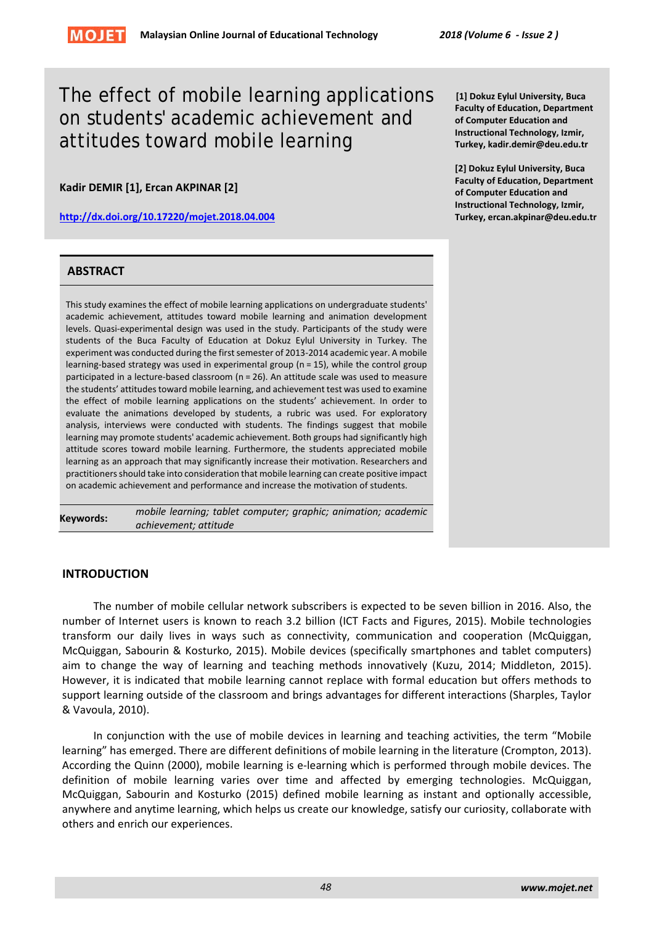# The effect of mobile learning applications on students' academic achievement and attitudes toward mobile learning

**Kadir DEMIR [1], Ercan AKPINAR [2]**

**<http://dx.doi.org/10.17220/mojet.2018.04.004>**

# **ABSTRACT**

This study examines the effect of mobile learning applications on undergraduate students' academic achievement, attitudes toward mobile learning and animation development levels. Quasi-experimental design was used in the study. Participants of the study were students of the Buca Faculty of Education at Dokuz Eylul University in Turkey. The experiment was conducted during the first semester of 2013-2014 academic year. A mobile learning-based strategy was used in experimental group (n = 15), while the control group participated in a lecture-based classroom (n = 26). An attitude scale was used to measure the students' attitudes toward mobile learning, and achievement test was used to examine the effect of mobile learning applications on the students' achievement. In order to evaluate the animations developed by students, a rubric was used. For exploratory analysis, interviews were conducted with students. The findings suggest that mobile learning may promote students' academic achievement. Both groups had significantly high attitude scores toward mobile learning. Furthermore, the students appreciated mobile learning as an approach that may significantly increase their motivation. Researchers and practitioners should take into consideration that mobile learning can create positive impact on academic achievement and performance and increase the motivation of students.

**Keywords:** *mobile learning; tablet computer; graphic; animation; academic achievement; attitude*

# **INTRODUCTION**

The number of mobile cellular network subscribers is expected to be seven billion in 2016. Also, the number of Internet users is known to reach 3.2 billion (ICT Facts and Figures, 2015). Mobile technologies transform our daily lives in ways such as connectivity, communication and cooperation (McQuiggan, McQuiggan, Sabourin & Kosturko, 2015). Mobile devices (specifically smartphones and tablet computers) aim to change the way of learning and teaching methods innovatively (Kuzu, 2014; Middleton, 2015). However, it is indicated that mobile learning cannot replace with formal education but offers methods to support learning outside of the classroom and brings advantages for different interactions (Sharples, Taylor & Vavoula, 2010).

In conjunction with the use of mobile devices in learning and teaching activities, the term "Mobile learning" has emerged. There are different definitions of mobile learning in the literature (Crompton, 2013). According the Quinn (2000), mobile learning is e-learning which is performed through mobile devices. The definition of mobile learning varies over time and affected by emerging technologies. McQuiggan, McQuiggan, Sabourin and Kosturko (2015) defined mobile learning as instant and optionally accessible, anywhere and anytime learning, which helps us create our knowledge, satisfy our curiosity, collaborate with others and enrich our experiences.

**[1] Dokuz Eylul University, Buca Faculty of Education, Department of Computer Education and Instructional Technology, Izmir, Turkey, kadir.demir@deu.edu.tr** 

**[2] Dokuz Eylul University, Buca Faculty of Education, Department of Computer Education and Instructional Technology, Izmir, Turkey, ercan.akpinar@deu.edu.tr**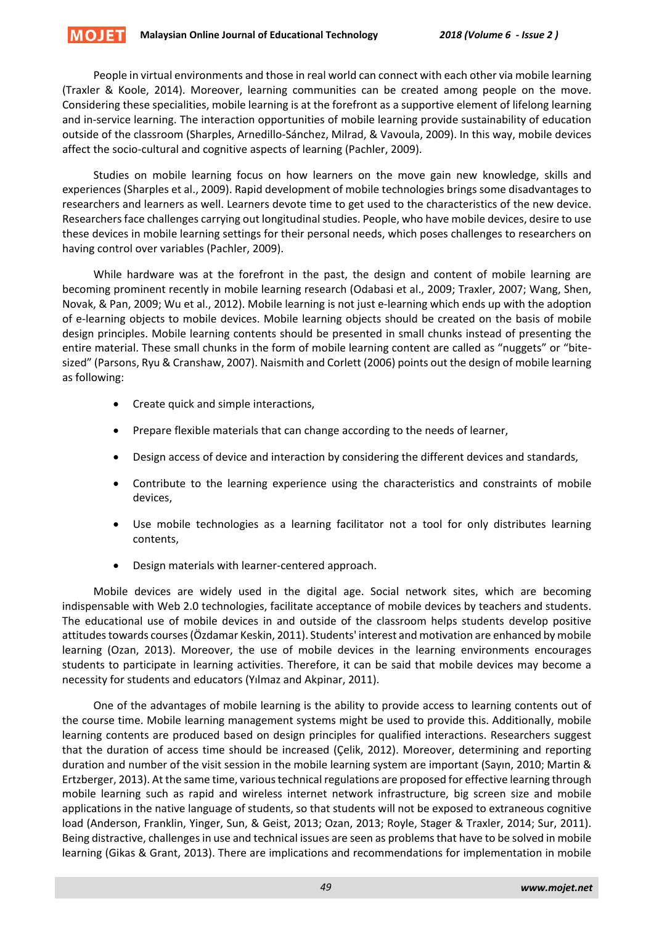#### **MOJET Malaysian Online Journal of Educational Technology** *2018 (Volume 6 - Issue 2 )*

People in virtual environments and those in real world can connect with each other via mobile learning (Traxler & Koole, 2014). Moreover, learning communities can be created among people on the move. Considering these specialities, mobile learning is at the forefront as a supportive element of lifelong learning and in-service learning. The interaction opportunities of mobile learning provide sustainability of education outside of the classroom (Sharples, Arnedillo-Sánchez, Milrad, & Vavoula, 2009). In this way, mobile devices affect the socio-cultural and cognitive aspects of learning (Pachler, 2009).

Studies on mobile learning focus on how learners on the move gain new knowledge, skills and experiences (Sharples et al., 2009). Rapid development of mobile technologies brings some disadvantages to researchers and learners as well. Learners devote time to get used to the characteristics of the new device. Researchers face challenges carrying out longitudinal studies. People, who have mobile devices, desire to use these devices in mobile learning settings for their personal needs, which poses challenges to researchers on having control over variables (Pachler, 2009).

While hardware was at the forefront in the past, the design and content of mobile learning are becoming prominent recently in mobile learning research (Odabasi et al., 2009; Traxler, 2007; Wang, Shen, Novak, & Pan, 2009; Wu et al., 2012). Mobile learning is not just e-learning which ends up with the adoption of e-learning objects to mobile devices. Mobile learning objects should be created on the basis of mobile design principles. Mobile learning contents should be presented in small chunks instead of presenting the entire material. These small chunks in the form of mobile learning content are called as "nuggets" or "bitesized" (Parsons, Ryu & Cranshaw, 2007). Naismith and Corlett (2006) points out the design of mobile learning as following:

- Create quick and simple interactions,
- Prepare flexible materials that can change according to the needs of learner,
- Design access of device and interaction by considering the different devices and standards,
- Contribute to the learning experience using the characteristics and constraints of mobile devices,
- Use mobile technologies as a learning facilitator not a tool for only distributes learning contents,
- Design materials with learner-centered approach.

Mobile devices are widely used in the digital age. Social network sites, which are becoming indispensable with Web 2.0 technologies, facilitate acceptance of mobile devices by teachers and students. The educational use of mobile devices in and outside of the classroom helps students develop positive attitudes towards courses (Özdamar Keskin, 2011). Students' interest and motivation are enhanced by mobile learning (Ozan, 2013). Moreover, the use of mobile devices in the learning environments encourages students to participate in learning activities. Therefore, it can be said that mobile devices may become a necessity for students and educators (Yılmaz and Akpinar, 2011).

One of the advantages of mobile learning is the ability to provide access to learning contents out of the course time. Mobile learning management systems might be used to provide this. Additionally, mobile learning contents are produced based on design principles for qualified interactions. Researchers suggest that the duration of access time should be increased (Çelik, 2012). Moreover, determining and reporting duration and number of the visit session in the mobile learning system are important (Sayın, 2010; Martin & Ertzberger, 2013). At the same time, various technical regulations are proposed for effective learning through mobile learning such as rapid and wireless internet network infrastructure, big screen size and mobile applications in the native language of students, so that students will not be exposed to extraneous cognitive load (Anderson, Franklin, Yinger, Sun, & Geist, 2013; Ozan, 2013; Royle, Stager & Traxler, 2014; Sur, 2011). Being distractive, challenges in use and technical issues are seen as problems that have to be solved in mobile learning (Gikas & Grant, 2013). There are implications and recommendations for implementation in mobile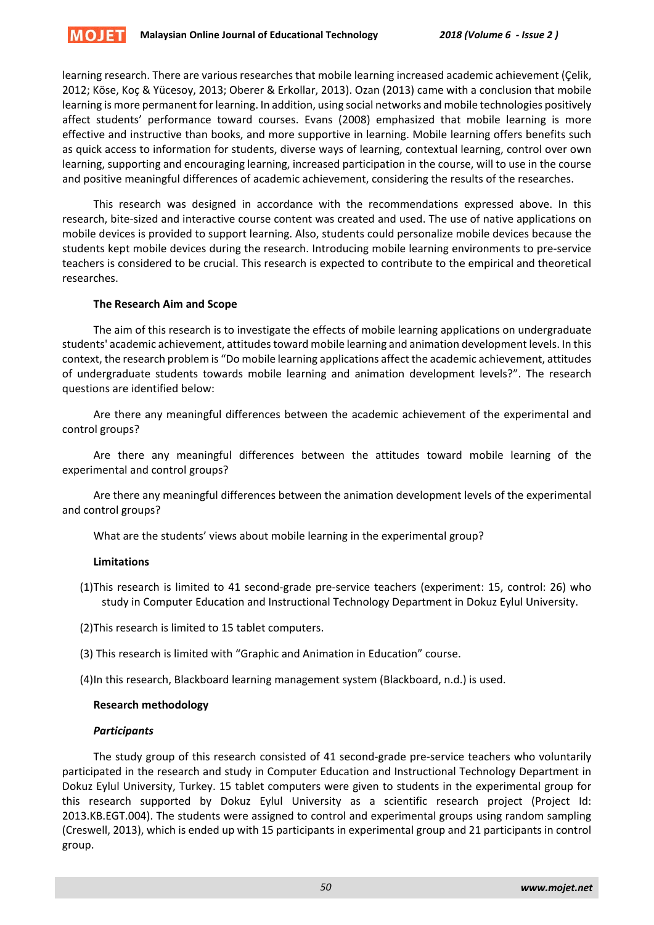learning research. There are various researches that mobile learning increased academic achievement (Çelik, 2012; Köse, Koç & Yücesoy, 2013; Oberer & Erkollar, 2013). Ozan (2013) came with a conclusion that mobile learning is more permanent for learning. In addition, using social networks and mobile technologies positively affect students' performance toward courses. Evans (2008) emphasized that mobile learning is more effective and instructive than books, and more supportive in learning. Mobile learning offers benefits such as quick access to information for students, diverse ways of learning, contextual learning, control over own learning, supporting and encouraging learning, increased participation in the course, will to use in the course and positive meaningful differences of academic achievement, considering the results of the researches.

This research was designed in accordance with the recommendations expressed above. In this research, bite-sized and interactive course content was created and used. The use of native applications on mobile devices is provided to support learning. Also, students could personalize mobile devices because the students kept mobile devices during the research. Introducing mobile learning environments to pre-service teachers is considered to be crucial. This research is expected to contribute to the empirical and theoretical researches.

# **The Research Aim and Scope**

The aim of this research is to investigate the effects of mobile learning applications on undergraduate students' academic achievement, attitudes toward mobile learning and animation development levels. In this context, the research problem is "Do mobile learning applications affect the academic achievement, attitudes of undergraduate students towards mobile learning and animation development levels?". The research questions are identified below:

Are there any meaningful differences between the academic achievement of the experimental and control groups?

Are there any meaningful differences between the attitudes toward mobile learning of the experimental and control groups?

Are there any meaningful differences between the animation development levels of the experimental and control groups?

What are the students' views about mobile learning in the experimental group?

# **Limitations**

(1)This research is limited to 41 second-grade pre-service teachers (experiment: 15, control: 26) who study in Computer Education and Instructional Technology Department in Dokuz Eylul University.

(2)This research is limited to 15 tablet computers.

- (3) This research is limited with "Graphic and Animation in Education" course.
- (4)In this research, Blackboard learning management system (Blackboard, n.d.) is used.

# **Research methodology**

# *Participants*

The study group of this research consisted of 41 second-grade pre-service teachers who voluntarily participated in the research and study in Computer Education and Instructional Technology Department in Dokuz Eylul University, Turkey. 15 tablet computers were given to students in the experimental group for this research supported by Dokuz Eylul University as a scientific research project (Project Id: 2013.KB.EGT.004). The students were assigned to control and experimental groups using random sampling (Creswell, 2013), which is ended up with 15 participants in experimental group and 21 participants in control group.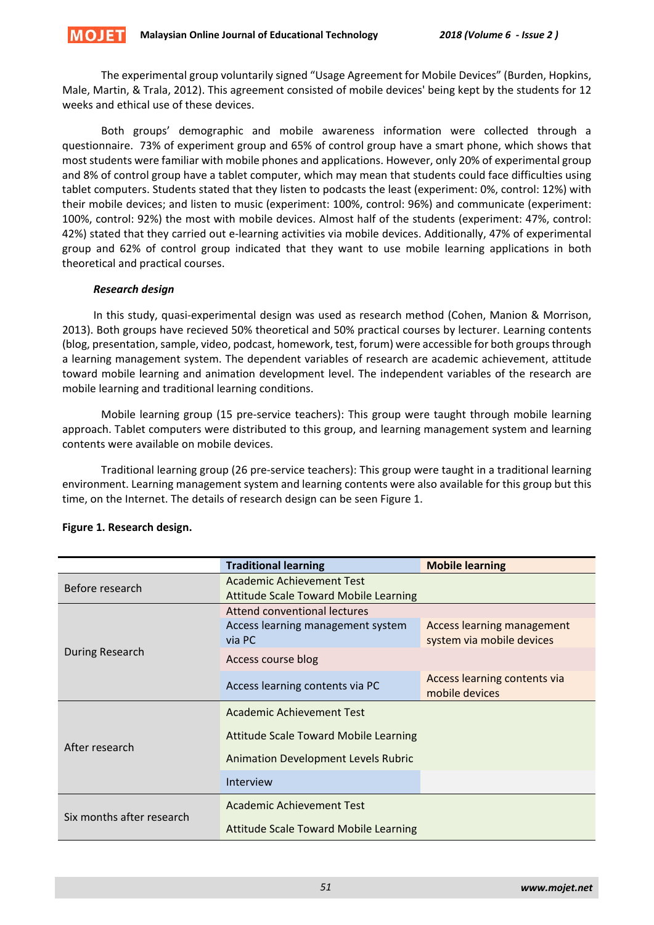The experimental group voluntarily signed "Usage Agreement for Mobile Devices" (Burden, Hopkins, Male, Martin, & Trala, 2012). This agreement consisted of mobile devices' being kept by the students for 12 weeks and ethical use of these devices.

Both groups' demographic and mobile awareness information were collected through a questionnaire. 73% of experiment group and 65% of control group have a smart phone, which shows that most students were familiar with mobile phones and applications. However, only 20% of experimental group and 8% of control group have a tablet computer, which may mean that students could face difficulties using tablet computers. Students stated that they listen to podcasts the least (experiment: 0%, control: 12%) with their mobile devices; and listen to music (experiment: 100%, control: 96%) and communicate (experiment: 100%, control: 92%) the most with mobile devices. Almost half of the students (experiment: 47%, control: 42%) stated that they carried out e-learning activities via mobile devices. Additionally, 47% of experimental group and 62% of control group indicated that they want to use mobile learning applications in both theoretical and practical courses.

# *Research design*

In this study, quasi-experimental design was used as research method (Cohen, Manion & Morrison, 2013). Both groups have recieved 50% theoretical and 50% practical courses by lecturer. Learning contents (blog, presentation, sample, video, podcast, homework, test, forum) were accessible for both groups through a learning management system. The dependent variables of research are academic achievement, attitude toward mobile learning and animation development level. The independent variables of the research are mobile learning and traditional learning conditions.

Mobile learning group (15 pre-service teachers): This group were taught through mobile learning approach. Tablet computers were distributed to this group, and learning management system and learning contents were available on mobile devices.

Traditional learning group (26 pre-service teachers): This group were taught in a traditional learning environment. Learning management system and learning contents were also available for this group but this time, on the Internet. The details of research design can be seen Figure 1.

|                           | <b>Traditional learning</b>                  | <b>Mobile learning</b>       |  |  |  |
|---------------------------|----------------------------------------------|------------------------------|--|--|--|
| Before research           | Academic Achievement Test                    |                              |  |  |  |
|                           | <b>Attitude Scale Toward Mobile Learning</b> |                              |  |  |  |
|                           | Attend conventional lectures                 |                              |  |  |  |
|                           | Access learning management system            | Access learning management   |  |  |  |
|                           | via PC                                       | system via mobile devices    |  |  |  |
| During Research           | Access course blog                           |                              |  |  |  |
|                           | Access learning contents via PC              | Access learning contents via |  |  |  |
|                           |                                              | mobile devices               |  |  |  |
|                           | Academic Achievement Test                    |                              |  |  |  |
| After research            | <b>Attitude Scale Toward Mobile Learning</b> |                              |  |  |  |
|                           | <b>Animation Development Levels Rubric</b>   |                              |  |  |  |
|                           | Interview                                    |                              |  |  |  |
| Six months after research | Academic Achievement Test                    |                              |  |  |  |
|                           | <b>Attitude Scale Toward Mobile Learning</b> |                              |  |  |  |

# **Figure 1. Research design.**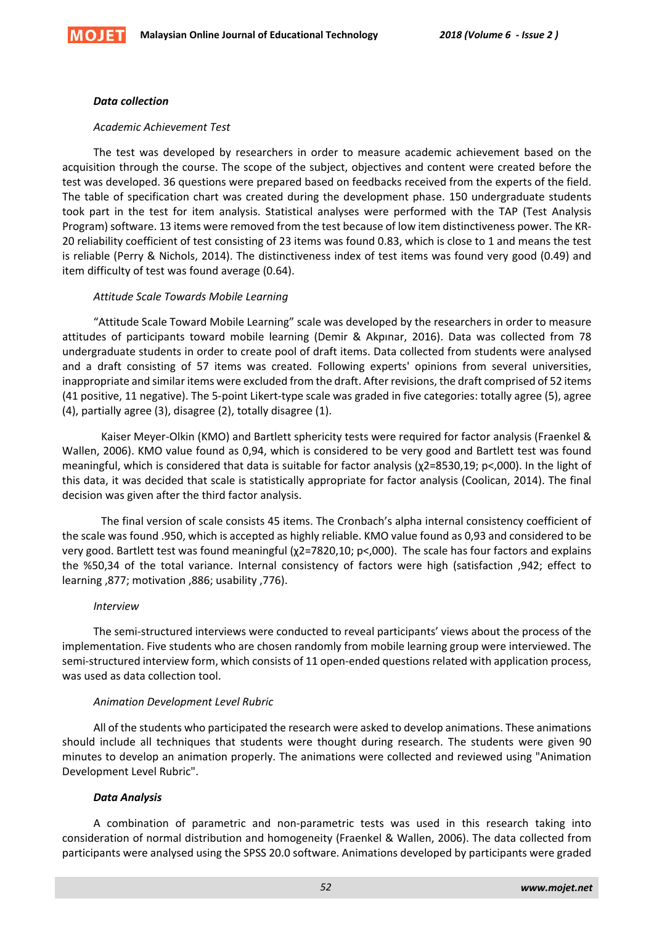

#### *Data collection*

#### *Academic Achievement Test*

The test was developed by researchers in order to measure academic achievement based on the acquisition through the course. The scope of the subject, objectives and content were created before the test was developed. 36 questions were prepared based on feedbacks received from the experts of the field. The table of specification chart was created during the development phase. 150 undergraduate students took part in the test for item analysis. Statistical analyses were performed with the TAP (Test Analysis Program) software. 13 items were removed from the test because of low item distinctiveness power. The KR-20 reliability coefficient of test consisting of 23 items was found 0.83, which is close to 1 and means the test is reliable (Perry & Nichols, 2014). The distinctiveness index of test items was found very good (0.49) and item difficulty of test was found average (0.64).

# *Attitude Scale Towards Mobile Learning*

"Attitude Scale Toward Mobile Learning" scale was developed by the researchers in order to measure attitudes of participants toward mobile learning (Demir & Akpınar, 2016). Data was collected from 78 undergraduate students in order to create pool of draft items. Data collected from students were analysed and a draft consisting of 57 items was created. Following experts' opinions from several universities, inappropriate and similar items were excluded from the draft. After revisions, the draft comprised of 52 items (41 positive, 11 negative). The 5-point Likert-type scale was graded in five categories: totally agree (5), agree (4), partially agree (3), disagree (2), totally disagree (1).

Kaiser Meyer-Olkin (KMO) and Bartlett sphericity tests were required for factor analysis (Fraenkel & Wallen, 2006). KMO value found as 0,94, which is considered to be very good and Bartlett test was found meaningful, which is considered that data is suitable for factor analysis (χ2=8530,19; p<,000). In the light of this data, it was decided that scale is statistically appropriate for factor analysis (Coolican, 2014). The final decision was given after the third factor analysis.

The final version of scale consists 45 items. The Cronbach's alpha internal consistency coefficient of the scale was found .950, which is accepted as highly reliable. KMO value found as 0,93 and considered to be very good. Bartlett test was found meaningful (χ2=7820,10; p<,000). The scale has four factors and explains the %50,34 of the total variance. Internal consistency of factors were high (satisfaction ,942; effect to learning ,877; motivation ,886; usability ,776).

#### *Interview*

The semi-structured interviews were conducted to reveal participants' views about the process of the implementation. Five students who are chosen randomly from mobile learning group were interviewed. The semi-structured interview form, which consists of 11 open-ended questions related with application process, was used as data collection tool.

# *Animation Development Level Rubric*

All of the students who participated the research were asked to develop animations. These animations should include all techniques that students were thought during research. The students were given 90 minutes to develop an animation properly. The animations were collected and reviewed using "Animation Development Level Rubric".

# *Data Analysis*

A combination of parametric and non-parametric tests was used in this research taking into consideration of normal distribution and homogeneity (Fraenkel & Wallen, 2006). The data collected from participants were analysed using the SPSS 20.0 software. Animations developed by participants were graded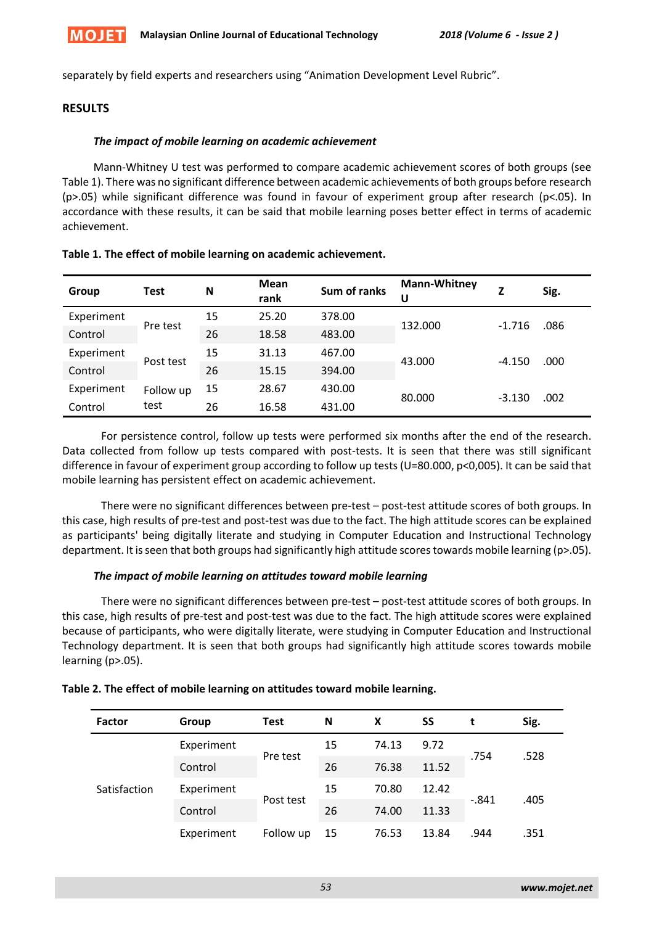

separately by field experts and researchers using "Animation Development Level Rubric".

# **RESULTS**

# *The impact of mobile learning on academic achievement*

Mann-Whitney U test was performed to compare academic achievement scores of both groups (see Table 1). There was no significant difference between academic achievements of both groups before research (p>.05) while significant difference was found in favour of experiment group after research (p<.05). In accordance with these results, it can be said that mobile learning poses better effect in terms of academic achievement.

| Group      | <b>Test</b> | N  | <b>Mean</b><br>rank | Sum of ranks | <b>Mann-Whitney</b><br>U | Z        | Sig. |
|------------|-------------|----|---------------------|--------------|--------------------------|----------|------|
| Experiment |             | 15 | 25.20               | 378.00       | 132.000                  | $-1.716$ | .086 |
| Control    | Pre test    | 26 | 18.58               | 483.00       |                          |          |      |
| Experiment |             | 15 | 31.13               | 467.00       |                          | $-4.150$ |      |
| Control    | Post test   | 26 | 15.15               | 394.00       | 43.000                   |          | .000 |
| Experiment | Follow up   | 15 | 28.67               | 430.00       | 80.000                   | $-3.130$ | .002 |
| Control    | test        | 26 | 16.58               | 431.00       |                          |          |      |

# **Table 1. The effect of mobile learning on academic achievement.**

For persistence control, follow up tests were performed six months after the end of the research. Data collected from follow up tests compared with post-tests. It is seen that there was still significant difference in favour of experiment group according to follow up tests (U=80.000, p<0,005). It can be said that mobile learning has persistent effect on academic achievement.

There were no significant differences between pre-test – post-test attitude scores of both groups. In this case, high results of pre-test and post-test was due to the fact. The high attitude scores can be explained as participants' being digitally literate and studying in Computer Education and Instructional Technology department. It is seen that both groups had significantly high attitude scores towards mobile learning (p>.05).

# *The impact of mobile learning on attitudes toward mobile learning*

There were no significant differences between pre-test – post-test attitude scores of both groups. In this case, high results of pre-test and post-test was due to the fact. The high attitude scores were explained because of participants, who were digitally literate, were studying in Computer Education and Instructional Technology department. It is seen that both groups had significantly high attitude scores towards mobile learning (p>.05).

| <b>Factor</b> | Group      | <b>Test</b> | N  | X     | SS    | t       | Sig. |
|---------------|------------|-------------|----|-------|-------|---------|------|
| Satisfaction  | Experiment | Pre test    | 15 | 74.13 | 9.72  | .754    | .528 |
|               | Control    |             | 26 | 76.38 | 11.52 |         |      |
|               | Experiment | Post test   | 15 | 70.80 | 12.42 | $-.841$ |      |
|               | Control    |             | 26 | 74.00 | 11.33 |         | .405 |
|               | Experiment | Follow up   | 15 | 76.53 | 13.84 | .944    | .351 |

| Table 2. The effect of mobile learning on attitudes toward mobile learning. |  |
|-----------------------------------------------------------------------------|--|
|-----------------------------------------------------------------------------|--|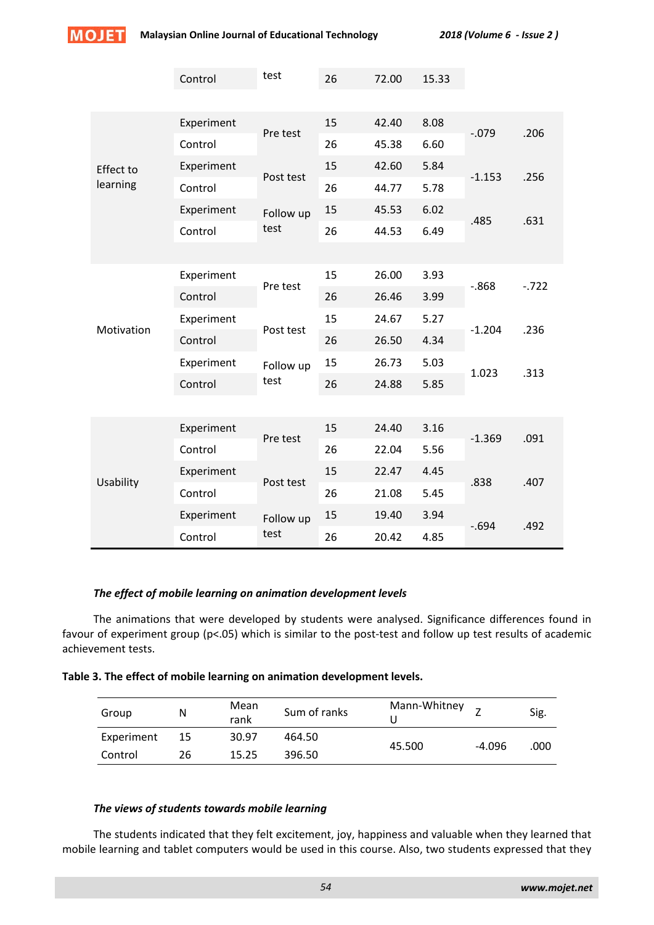

|                  | Control    | test      | 26 | 72.00 | 15.33 |          |          |
|------------------|------------|-----------|----|-------|-------|----------|----------|
|                  | Experiment |           | 15 | 42.40 | 8.08  | $-0.079$ | .206     |
|                  | Control    | Pre test  | 26 | 45.38 | 6.60  |          |          |
| <b>Effect to</b> | Experiment |           | 15 | 42.60 | 5.84  | $-1.153$ | .256     |
| learning         | Control    | Post test | 26 | 44.77 | 5.78  |          |          |
|                  | Experiment | Follow up | 15 | 45.53 | 6.02  | .485     |          |
|                  | Control    | test      | 26 | 44.53 | 6.49  |          | .631     |
|                  |            |           |    |       |       |          |          |
|                  | Experiment | Pre test  | 15 | 26.00 | 3.93  | $-0.868$ | $-0.722$ |
| Motivation       | Control    |           | 26 | 26.46 | 3.99  |          |          |
|                  | Experiment | Post test | 15 | 24.67 | 5.27  | $-1.204$ | .236     |
|                  | Control    |           | 26 | 26.50 | 4.34  |          |          |
|                  | Experiment | Follow up | 15 | 26.73 | 5.03  | 1.023    | .313     |
|                  | Control    | test      | 26 | 24.88 | 5.85  |          |          |
|                  |            |           |    |       |       |          |          |
| Usability        | Experiment | Pre test  | 15 | 24.40 | 3.16  | $-1.369$ | .091     |
|                  | Control    |           | 26 | 22.04 | 5.56  |          |          |
|                  | Experiment | Post test | 15 | 22.47 | 4.45  | .838     | .407     |
|                  | Control    |           | 26 | 21.08 | 5.45  |          |          |
|                  | Experiment | Follow up | 15 | 19.40 | 3.94  | $-694$   | .492     |
|                  | Control    | test      | 26 | 20.42 | 4.85  |          |          |

# *The effect of mobile learning on animation development levels*

The animations that were developed by students were analysed. Significance differences found in favour of experiment group (p<.05) which is similar to the post-test and follow up test results of academic achievement tests.

| Table 3. The effect of mobile learning on animation development levels. |  |  |
|-------------------------------------------------------------------------|--|--|
|-------------------------------------------------------------------------|--|--|

| Group      | Ν  | Mean<br>rank | Sum of ranks | Mann-Whitney |          | Sig. |
|------------|----|--------------|--------------|--------------|----------|------|
| Experiment | 15 | 30.97        | 464.50       |              | $-4.096$ | .000 |
| Control    | 26 | 15.25        | 396.50       | 45.500       |          |      |

# *The views of students towards mobile learning*

The students indicated that they felt excitement, joy, happiness and valuable when they learned that mobile learning and tablet computers would be used in this course. Also, two students expressed that they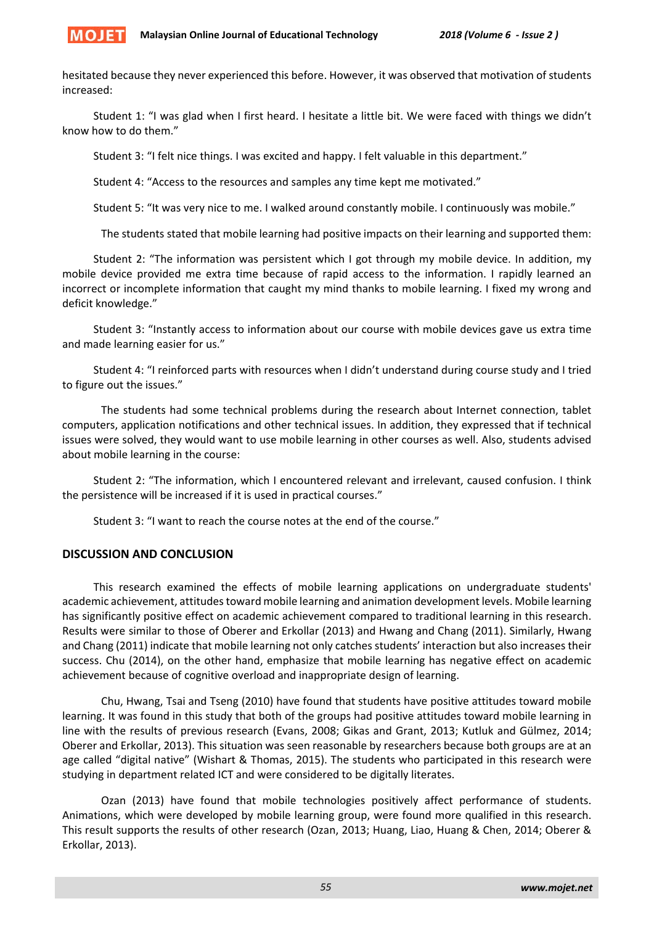

hesitated because they never experienced this before. However, it was observed that motivation of students increased:

Student 1: "I was glad when I first heard. I hesitate a little bit. We were faced with things we didn't know how to do them."

Student 3: "I felt nice things. I was excited and happy. I felt valuable in this department."

Student 4: "Access to the resources and samples any time kept me motivated."

Student 5: "It was very nice to me. I walked around constantly mobile. I continuously was mobile."

The students stated that mobile learning had positive impacts on their learning and supported them:

Student 2: "The information was persistent which I got through my mobile device. In addition, my mobile device provided me extra time because of rapid access to the information. I rapidly learned an incorrect or incomplete information that caught my mind thanks to mobile learning. I fixed my wrong and deficit knowledge."

Student 3: "Instantly access to information about our course with mobile devices gave us extra time and made learning easier for us."

Student 4: "I reinforced parts with resources when I didn't understand during course study and I tried to figure out the issues."

The students had some technical problems during the research about Internet connection, tablet computers, application notifications and other technical issues. In addition, they expressed that if technical issues were solved, they would want to use mobile learning in other courses as well. Also, students advised about mobile learning in the course:

Student 2: "The information, which I encountered relevant and irrelevant, caused confusion. I think the persistence will be increased if it is used in practical courses."

Student 3: "I want to reach the course notes at the end of the course."

# **DISCUSSION AND CONCLUSION**

This research examined the effects of mobile learning applications on undergraduate students' academic achievement, attitudes toward mobile learning and animation development levels. Mobile learning has significantly positive effect on academic achievement compared to traditional learning in this research. Results were similar to those of Oberer and Erkollar (2013) and Hwang and Chang (2011). Similarly, Hwang and Chang (2011) indicate that mobile learning not only catches students' interaction but also increases their success. Chu (2014), on the other hand, emphasize that mobile learning has negative effect on academic achievement because of cognitive overload and inappropriate design of learning.

Chu, Hwang, Tsai and Tseng (2010) have found that students have positive attitudes toward mobile learning. It was found in this study that both of the groups had positive attitudes toward mobile learning in line with the results of previous research (Evans, 2008; Gikas and Grant, 2013; Kutluk and Gülmez, 2014; Oberer and Erkollar, 2013). This situation was seen reasonable by researchers because both groups are at an age called "digital native" (Wishart & Thomas, 2015). The students who participated in this research were studying in department related ICT and were considered to be digitally literates.

Ozan (2013) have found that mobile technologies positively affect performance of students. Animations, which were developed by mobile learning group, were found more qualified in this research. This result supports the results of other research (Ozan, 2013; Huang, Liao, Huang & Chen, 2014; Oberer & Erkollar, 2013).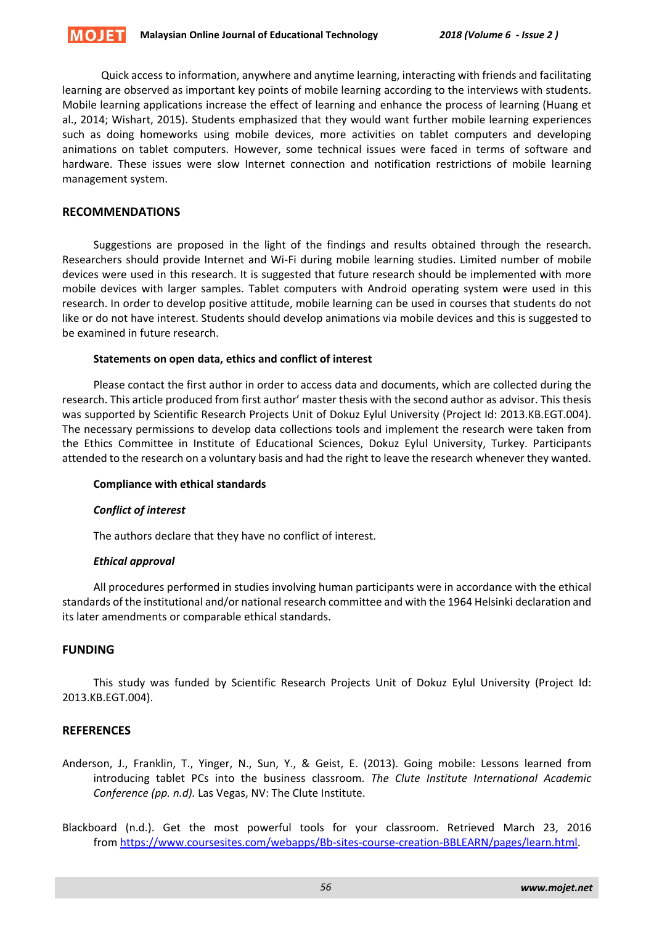Quick access to information, anywhere and anytime learning, interacting with friends and facilitating learning are observed as important key points of mobile learning according to the interviews with students. Mobile learning applications increase the effect of learning and enhance the process of learning (Huang et al., 2014; Wishart, 2015). Students emphasized that they would want further mobile learning experiences such as doing homeworks using mobile devices, more activities on tablet computers and developing animations on tablet computers. However, some technical issues were faced in terms of software and hardware. These issues were slow Internet connection and notification restrictions of mobile learning management system.

# **RECOMMENDATIONS**

Suggestions are proposed in the light of the findings and results obtained through the research. Researchers should provide Internet and Wi-Fi during mobile learning studies. Limited number of mobile devices were used in this research. It is suggested that future research should be implemented with more mobile devices with larger samples. Tablet computers with Android operating system were used in this research. In order to develop positive attitude, mobile learning can be used in courses that students do not like or do not have interest. Students should develop animations via mobile devices and this is suggested to be examined in future research.

#### **Statements on open data, ethics and conflict of interest**

Please contact the first author in order to access data and documents, which are collected during the research. This article produced from first author' master thesis with the second author as advisor. This thesis was supported by Scientific Research Projects Unit of Dokuz Eylul University (Project Id: 2013.KB.EGT.004). The necessary permissions to develop data collections tools and implement the research were taken from the Ethics Committee in Institute of Educational Sciences, Dokuz Eylul University, Turkey. Participants attended to the research on a voluntary basis and had the right to leave the research whenever they wanted.

# **Compliance with ethical standards**

# *Conflict of interest*

The authors declare that they have no conflict of interest.

#### *Ethical approval*

All procedures performed in studies involving human participants were in accordance with the ethical standards of the institutional and/or national research committee and with the 1964 Helsinki declaration and its later amendments or comparable ethical standards.

# **FUNDING**

This study was funded by Scientific Research Projects Unit of Dokuz Eylul University (Project Id: 2013.KB.EGT.004).

# **REFERENCES**

- Anderson, J., Franklin, T., Yinger, N., Sun, Y., & Geist, E. (2013). Going mobile: Lessons learned from introducing tablet PCs into the business classroom. *The Clute Institute International Academic Conference (pp. n.d).* Las Vegas, NV: The Clute Institute.
- Blackboard (n.d.). Get the most powerful tools for your classroom. Retrieved March 23, 2016 from [https://www.coursesites.com/webapps/Bb-sites-course-creation-BBLEARN/pages/learn.html.](https://www.coursesites.com/webapps/Bb-sites-course-creation-BBLEARN/pages/learn.html)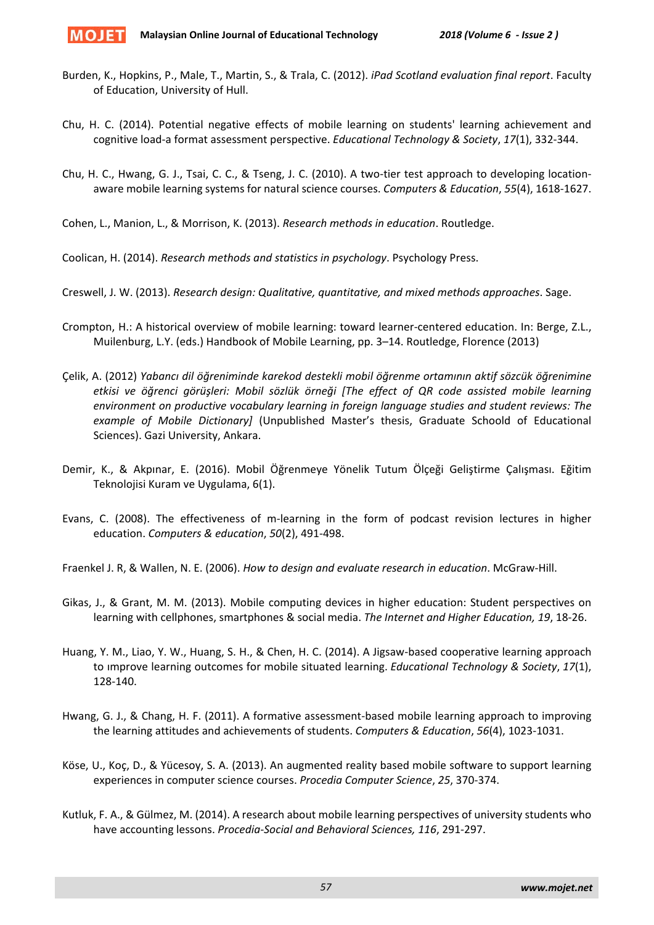- Burden, K., Hopkins, P., Male, T., Martin, S., & Trala, C. (2012). *iPad Scotland evaluation final report*. Faculty of Education, University of Hull.
- Chu, H. C. (2014). Potential negative effects of mobile learning on students' learning achievement and cognitive load-a format assessment perspective. *Educational Technology & Society*, *17*(1), 332-344.
- Chu, H. C., Hwang, G. J., Tsai, C. C., & Tseng, J. C. (2010). A two-tier test approach to developing locationaware mobile learning systems for natural science courses. *Computers & Education*, *55*(4), 1618-1627.

Cohen, L., Manion, L., & Morrison, K. (2013). *Research methods in education*. Routledge.

Coolican, H. (2014). *Research methods and statistics in psychology*. Psychology Press.

Creswell, J. W. (2013). *Research design: Qualitative, quantitative, and mixed methods approaches*. Sage.

- Crompton, H.: A historical overview of mobile learning: toward learner-centered education. In: Berge, Z.L., Muilenburg, L.Y. (eds.) Handbook of Mobile Learning, pp. 3–14. Routledge, Florence (2013)
- Çelik, A. (2012) *Yabancı dil öğreniminde karekod destekli mobil öğrenme ortamının aktif sözcük öğrenimine etkisi ve öğrenci görüşleri: Mobil sözlük örneği [The effect of QR code assisted mobile learning environment on productive vocabulary learning in foreign language studies and student reviews: The example of Mobile Dictionary]* (Unpublished Master's thesis, Graduate Schoold of Educational Sciences). Gazi University, Ankara.
- Demir, K., & Akpınar, E. (2016). Mobil Öğrenmeye Yönelik Tutum Ölçeği Geliştirme Çalışması. Eğitim Teknolojisi Kuram ve Uygulama, 6(1).
- Evans, C. (2008). The effectiveness of m-learning in the form of podcast revision lectures in higher education. *Computers & education*, *50*(2), 491-498.

Fraenkel J. R, & Wallen, N. E. (2006). *How to design and evaluate research in education*. McGraw-Hill.

- Gikas, J., & Grant, M. M. (2013). Mobile computing devices in higher education: Student perspectives on learning with cellphones, smartphones & social media. *The Internet and Higher Education, 19*, 18-26.
- Huang, Y. M., Liao, Y. W., Huang, S. H., & Chen, H. C. (2014). A Jigsaw-based cooperative learning approach to ımprove learning outcomes for mobile situated learning. *Educational Technology & Society*, *17*(1), 128-140.
- Hwang, G. J., & Chang, H. F. (2011). A formative assessment-based mobile learning approach to improving the learning attitudes and achievements of students. *Computers & Education*, *56*(4), 1023-1031.
- Köse, U., Koç, D., & Yücesoy, S. A. (2013). An augmented reality based mobile software to support learning experiences in computer science courses. *Procedia Computer Science*, *25*, 370-374.
- Kutluk, F. A., & Gülmez, M. (2014). A research about mobile learning perspectives of university students who have accounting lessons. *Procedia-Social and Behavioral Sciences, 116*, 291-297.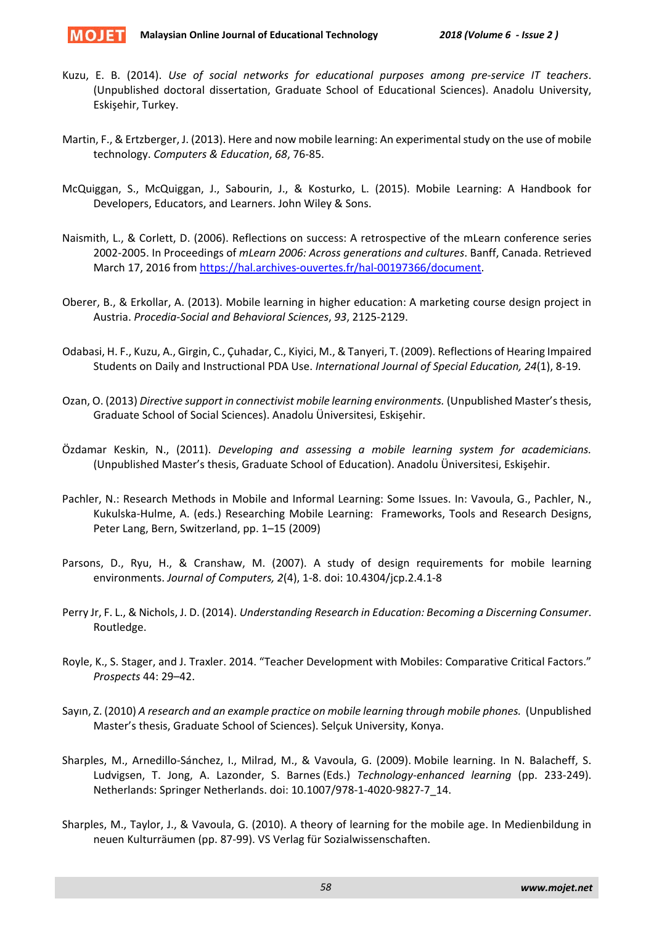

- Kuzu, E. B. (2014). *Use of social networks for educational purposes among pre-service IT teachers*. (Unpublished doctoral dissertation, Graduate School of Educational Sciences). Anadolu University, Eskişehir, Turkey.
- Martin, F., & Ertzberger, J. (2013). Here and now mobile learning: An experimental study on the use of mobile technology. *Computers & Education*, *68*, 76-85.
- McQuiggan, S., McQuiggan, J., Sabourin, J., & Kosturko, L. (2015). Mobile Learning: A Handbook for Developers, Educators, and Learners. John Wiley & Sons.
- Naismith, L., & Corlett, D. (2006). Reflections on success: A retrospective of the mLearn conference series 2002-2005. In Proceedings of *mLearn 2006: Across generations and cultures*. Banff, Canada. Retrieved March 17, 2016 from [https://hal.archives-ouvertes.fr/hal-](https://hal.archives-ouvertes.fr/hal-00197366/document)00197366/document.
- Oberer, B., & Erkollar, A. (2013). Mobile learning in higher education: A marketing course design project in Austria. *Procedia-Social and Behavioral Sciences*, *93*, 2125-2129.
- Odabasi, H. F., Kuzu, A., Girgin, C., Çuhadar, C., Kiyici, M., & Tanyeri, T. (2009). Reflections of Hearing Impaired Students on Daily and Instructional PDA Use. *International Journal of Special Education, 24*(1), 8-19.
- Ozan, O. (2013) *Directive support in connectivist mobile learning environments.* (Unpublished Master's thesis, Graduate School of Social Sciences). Anadolu Üniversitesi, Eskişehir.
- Özdamar Keskin, N., (2011). *Developing and assessing a mobile learning system for academicians.* (Unpublished Master's thesis, Graduate School of Education). Anadolu Üniversitesi, Eskişehir.
- Pachler, N.: Research Methods in Mobile and Informal Learning: Some Issues. In: Vavoula, G., Pachler, N., Kukulska-Hulme, A. (eds.) Researching Mobile Learning: Frameworks, Tools and Research Designs, Peter Lang, Bern, Switzerland, pp. 1–15 (2009)
- Parsons, D., Ryu, H., & Cranshaw, M. (2007). A study of design requirements for mobile learning environments. *Journal of Computers, 2*(4), 1-8. doi: 10.4304/jcp.2.4.1-8
- Perry Jr, F. L., & Nichols, J. D. (2014). *Understanding Research in Education: Becoming a Discerning Consumer*. Routledge.
- Royle, K., S. Stager, and J. Traxler. 2014. "Teacher Development with Mobiles: Comparative Critical Factors." *Prospects* 44: 29–42.
- Sayın, Z. (2010) *A research and an example practice on mobile learning through mobile phones.* (Unpublished Master's thesis, Graduate School of Sciences). Selçuk University, Konya.
- Sharples, M., Arnedillo-Sánchez, I., Milrad, M., & Vavoula, G. (2009). Mobile learning. In N. Balacheff, S. Ludvigsen, T. Jong, A. Lazonder, S. Barnes (Eds.) *Technology-enhanced learning* (pp. 233-249). Netherlands: Springer Netherlands. doi: 10.1007/978-1-4020-9827-7\_14.
- Sharples, M., Taylor, J., & Vavoula, G. (2010). A theory of learning for the mobile age. In Medienbildung in neuen Kulturräumen (pp. 87-99). VS Verlag für Sozialwissenschaften.